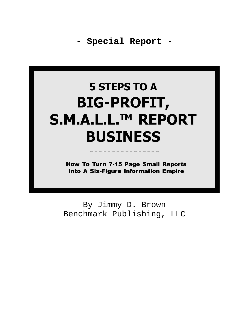# **5 STEPS TO A BIG-PROFIT,** S.M.A.L.L.™ REPORT **BUSINESS**

**How To Turn 7-15 Page Small Reports Into A Six-Figure Information Empire** 

By Jimmy D. Brown Benchmark Publishing, LLC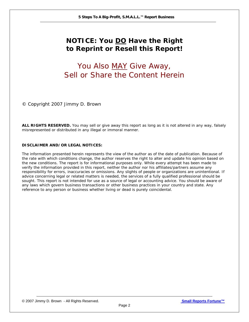## **NOTICE: You DO Have the Right to Reprint or Resell this Report!**

# You Also MAY Give Away, Sell or Share the Content Herein

© Copyright 2007 Jimmy D. Brown

**ALL RIGHTS RESERVED.** You may sell or give away this report as long as it is not altered in any way, falsely misrepresented or distributed in any illegal or immoral manner.

#### **DISCLAIMER AND/OR LEGAL NOTICES:**

The information presented herein represents the view of the author as of the date of publication. Because of the rate with which conditions change, the author reserves the right to alter and update his opinion based on the new conditions. The report is for informational purposes only. While every attempt has been made to verify the information provided in this report, neither the author nor his affiliates/partners assume any responsibility for errors, inaccuracies or omissions. Any slights of people or organizations are unintentional. If advice concerning legal or related matters is needed, the services of a fully qualified professional should be sought. This report is not intended for use as a source of legal or accounting advice. You should be aware of any laws which govern business transactions or other business practices in your country and state. Any reference to any person or business whether living or dead is purely coincidental.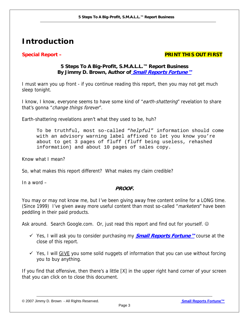# **Introduction**

#### **Special Report – PRINT THIS OUT FIRST**

#### **5 Steps To A Big-Profit, S.M.A.L.L.™ Report Business By Jimmy D. Brown, Author of <b>[Small Reports Fortune™](http://www.infoprofitshare.com/go.php?offer=janu001&pid=5)**

I must warn you up front - if you continue reading this report, then you may not get much sleep tonight.

I know, I know, everyone seems to have some kind of "earth-shattering" revelation to share that's gonna "*change things forever*".

Earth-shattering revelations aren't what they used to be, huh?

To be truthful, most so-called "*helpful*" information should come with an advisory warning label affixed to let you know you're about to get 3 pages of fluff (fluff being useless, rehashed information) and about 10 pages of sales copy.

Know what I mean?

So, what makes this report different? What makes my claim credible?

In a word –

#### **PROOF.**

You may or may not know me, but I've been giving away free content online for a LONG time. (Since 1999) I've given away more useful content than most so-called "*marketers*" have been peddling in their paid products.

Ask around. Search Google.com. Or, just read this report and find out for yourself.  $\odot$ 

- 9 Yes, I will ask you to consider purchasing my **[Small Reports Fortune™](http://www.infoprofitshare.com/go.php?offer=janu001&pid=5)** course at the close of this report.
- $\checkmark$  Yes, I will GIVE you some solid nuggets of information that you can use without forcing you to buy anything.

If you find that offensive, then there's a little [X] in the upper right hand corner of your screen that you can click on to close this document.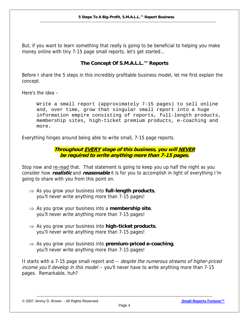But, if you want to learn something that really is going to be beneficial to helping you make money online with tiny 7-15 page small reports, let's get started…

#### **The Concept Of S.M.A.L.L.™ Reports**

Before I share the 5 steps in this incredibly profitable business model, let me first explain the concept.

Here's the idea –

Write a small report (approximately 7-15 pages) to sell online and, over time, grow that singular small report into a huge information empire consisting of reports, full-length products, membership sites, high-ticket premium products, e-coaching and more.

Everything hinges around being able to write small, 7-15 page reports.

**Throughout EVERY stage of this business, you will NEVER be required to write anything more than 7-15 pages.** 

Stop now and re-read that. That statement is going to keep you up half the night as you consider how **realistic** and **reasonable** it is for you to accomplish in light of everything I'm going to share with you from this point on.

- ⇒ As you grow your business into **full-length products**, you'll never write anything more than 7-15 pages!
- ⇒ As you grow your business into a **membership site**, you'll never write anything more than 7-15 pages!
- ⇒ As you grow your business into **high-ticket products**, you'll never write anything more than 7-15 pages!
- ⇒ As you grow your business into **premium-priced e-coaching**, you'll never write anything more than 7-15 pages!

It starts with a 7-15 page small report and -- *despite the numerous streams of higher-priced income you'll develop in this model* -- you'll never have to write anything more than 7-15 pages.Remarkable, huh?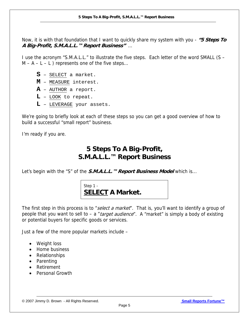Now, it is with that foundation that I want to quickly share my system with you - **"5 Steps To A Big-Profit, S.M.A.L.L.™ Report Business"** …

I use the acronym "S.M.A.L.L." to illustrate the five steps. Each letter of the word SMALL (S –  $M - A - L - L$ ) represents one of the five steps...

- **S** SELECT a market.
- **M** MEASURE interest.
- **A** AUTHOR a report.
- **L** LOOK to repeat.
- **L** LEVERAGE your assets.

We're going to briefly look at each of these steps so you can get a good overview of how to build a successful "small report" business.

I'm ready if you are.

## **5 Steps To A Big-Profit, S.M.A.L.L.™ Report Business**

Let's begin with the "S" of the **S.M.A.L.L.™ Report Business Model** which is...



The first step in this process is to "select a market". That is, you'll want to identify a group of people that you want to sell to – a "*target audience*". A "market" is simply a body of existing or potential buyers for specific goods or services.

Just a few of the more popular markets include –

- Weight loss
- Home business
- Relationships
- Parenting
- Retirement
- Personal Growth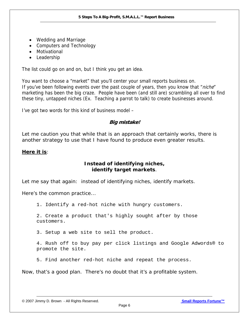- Wedding and Marriage
- Computers and Technology
- Motivational
- Leadership

The list could go on and on, but I think you get an idea.

You want to choose a "market" that you'll center your small reports business on. If you've been following events over the past couple of years, then you know that "*niche*" marketing has been the big craze. People have been (and still are) scrambling all over to find these tiny, untapped niches (Ex. Teaching a parrot to talk) to create businesses around.

I've got two words for this kind of business model –

#### **Big mistake!**

Let me caution you that while that is an approach that certainly works, there is another strategy to use that I have found to produce even greater results.

#### **Here it is**:

#### **Instead of identifying niches, identify target markets**.

Let me say that again: instead of identifying niches, identify markets.

Here's the common practice...

1. Identify a red-hot niche with hungry customers.

2. Create a product that's highly sought after by those customers.

3. Setup a web site to sell the product.

4. Rush off to buy pay per click listings and Google Adwords® to promote the site.

5. Find another red-hot niche and repeat the process.

Now, that's a good plan. There's no doubt that it's a profitable system.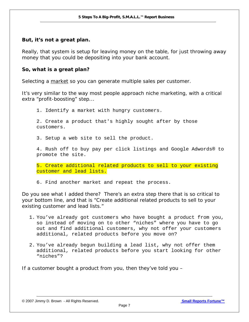#### *But, it's not a great plan.*

Really, that system is setup for leaving money on the table, for just throwing away money that you could be depositing into your bank account.

#### *So, what is a great plan?*

Selecting a market so you can generate multiple sales per customer.

It's very similar to the way most people approach niche marketing, with a critical extra "profit-boosting" step...

1. Identify a market with hungry customers.

2. Create a product that's highly sought after by those customers.

3. Setup a web site to sell the product.

4. Rush off to buy pay per click listings and Google Adwords® to promote the site.

5. Create additional related products to sell to your existing customer and lead lists.

6. Find another market and repeat the process.

Do you see what I added there? There's an extra step there that is so critical to your bottom line, and that is "Create additional related products to sell to your existing customer and lead lists."

- 1. You've already got customers who have bought a product from you, so instead of moving on to other "niches" where you have to go out and find additional customers, why not offer your customers additional, related products before you move on?
- 2. You've already begun building a lead list, why not offer them additional, related products before you start looking for other "niches"?

If a customer bought a product from you, then they've told you –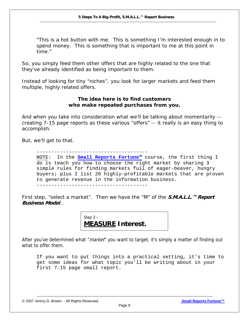*"This is a hot button with me. This is something I'm interested enough in to spend money. This is something that is important to me at this point in time."* 

So, you simply feed them other offers that are highly related to the one that they've already identified as being important to them.

Instead of looking for tiny "niches", you look for larger markets and feed them multiple, highly related offers.

#### **The idea here is to find customers who make repeated purchases from you.**

And when you take into consideration what we'll be talking about momentarily - *creating 7-15 page reports as these various "offers"* -- it really is an easy thing to accomplish.

But, we'll get to that.

--------------------------------------

NOTE: In the **[Small Reports Fortune™](http://www.infoprofitshare.com/go.php?offer=janu001&pid=5)** course, the first thing I do is teach you how to choose the right market by sharing 3 simple rules for finding markets full of eager-beaver, hungry buyers; plus I list 20 highly-profitable markets that are proven to generate revenue in the information business. --------------------------------------

First step, *"select a market".* Then we have the "M" of the **S.M.A.L.L.™ Report Business Model**…

> Step 2 - **MEASURE Interest.**

After you've determined what "*market*" you want to target, it's simply a matter of finding out what to offer them.

If you want to put things into a practical setting, it's time to get some ideas for what topic you'll be writing about in your first 7-15 page small report.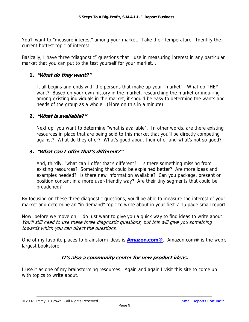You'll want to "measure interest" among your market. Take their temperature. Identify the current hottest topic of interest.

Basically, I have three "diagnostic" questions that I use in measuring interest in any particular market that you can put to the test yourself for your market...

#### **1. "What do they want?"**

It all begins and ends with the persons that make up your "market". What do THEY want? Based on your own history in the market, researching the market or inquiring among existing individuals in the market, it should be easy to determine the wants and needs of the group as a whole. (More on this in a minute).

#### **2. "What is available?"**

Next up, you want to determine "what is available". In other words, are there existing resources in place that are being sold to this market that you'll be directly competing against? What do they offer? What's good about their offer and what's not so good?

#### **3. "What can I offer that's different?"**

And, thirdly, "what can I offer that's different?" Is there something missing from existing resources? Something that could be explained better? Are more ideas and examples needed? Is there new information available? Can you package, present or position content in a more user-friendly way? Are their tiny segments that could be broadened?

By focusing on these three diagnostic questions, you'll be able to measure the interest of your market and determine an "in-demand" topic to write about in your first 7-15 page small report.

Now, before we move on, I do just want to give you a quick way to find ideas to write about. You'll still need to use these three diagnostic questions, but this will give you something towards which you can direct the questions.

One of my favorite places to brainstorm ideas is **[Amazon.com®](http://www.amazon.com/)**. Amazon.com® is the web's largest bookstore.

#### **It's also a community center for new product ideas.**

I use it as one of my brainstorming resources. Again and again I visit this site to come up with topics to write about.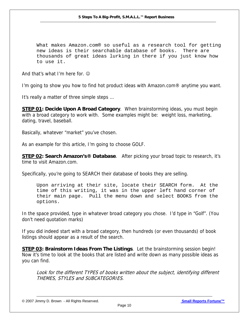What makes Amazon.com® so useful as a research tool for getting new ideas is their searchable database of books. There are thousands of great ideas lurking in there if you just know how to use it.

And that's what I'm here for.  $\odot$ 

I'm going to show you how to find hot product ideas with Amazon.com® anytime you want.

It's really a matter of three simple steps …

**STEP 01: Decide Upon A Broad Category**. When brainstorming ideas, you must begin with a broad category to work with. Some examples might be: weight loss, marketing, dating, travel, baseball.

Basically, whatever "market" you've chosen.

As an example for this article, I'm going to choose GOLF.

**STEP 02: Search Amazon's® Database**. After picking your broad topic to research, it's time to visit Amazon.com.

Specifically, you're going to SEARCH their database of books they are selling.

Upon arriving at their site, locate their SEARCH form. At the time of this writing, it was in the upper left hand corner of their main page. Pull the menu down and select BOOKS from the options.

In the space provided, type in whatever broad category you chose. I'd type in "Golf". (You don't need quotation marks)

If you did indeed start with a broad category, then hundreds (or even thousands) of book listings should appear as a result of the search.

**STEP 03: Brainstorm Ideas From The Listings**. Let the brainstorming session begin! Now it's time to look at the books that are listed and write down as many possible ideas as you can find.

Look for the different TYPES of books written about the subject, identifying different THEMES, STYLES and SUBCATEGORIES.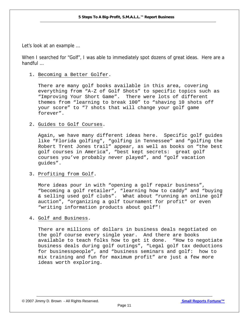Let's look at an example …

When I searched for "Golf", I was able to immediately spot dozens of great ideas. Here are a handful …

1. Becoming a Better Golfer.

There are many golf books available in this area, covering everything from "A-Z of Golf Shots" to specific topics such as "Improving Your Short Game". There were lots of different themes from "learning to break 100" to "shaving 10 shots off your score" to "7 shots that will change your golf game forever".

#### 2. Guides to Golf Courses.

Again, we have many different ideas here. Specific golf guides like "Florida golfing", "golfing in Tennessee" and "golfing the Robert Trent Jones trail" appear, as well as books on "the best golf courses in America", "best kept secrets: great golf courses you've probably never played", and "golf vacation guides".

#### 3. Profiting from Golf.

More ideas pour in with "opening a golf repair business", "becoming a golf retailer", "learning how to caddy" and "buying & selling used golf clubs". What about "running an online golf auction", "organizing a golf tournament for profit" or even "writing information products about golf"!

4. Golf and Business.

There are millions of dollars in business deals negotiated on the golf course every single year. And there are books available to teach folks how to get it done. "How to negotiate business deals during golf outings", "Legal golf tax deductions for businesspeople", and "business seminars and golf: how to mix training and fun for maximum profit" are just a few more ideas worth exploring.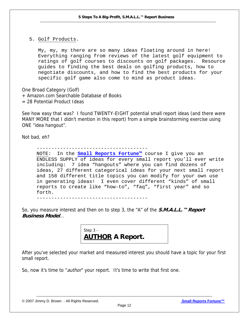5. Golf Products.

My, my, my there are so many ideas floating around in here! Everything ranging from reviews of the latest golf equipment to ratings of golf courses to discounts on golf packages. Resource guides to finding the best deals on golfing products, how to negotiate discounts, and how to find the best products for your specific golf game also come to mind as product ideas.

One Broad Category (Golf)

- + Amazon.com Searchable Database of Books
- = 28 Potential Product Ideas

See how easy that was? I found TWENTY-EIGHT potential small report ideas (and there were MANY MORE that I didn't mention in this report) from a simple brainstorming exercise using ONE "idea hangout".

Not bad, eh?

--------------------------------------

NOTE: In the **[Small Reports Fortune™](http://www.infoprofitshare.com/go.php?offer=janu001&pid=5)** course I give you an ENDLESS SUPPLY of ideas for every small report you'll ever write including: 7 idea "hangouts" where you can find dozens of ideas, 27 different categorical ideas for your next small report and 158 different title topics you can modify for your own use in generating ideas! I even cover different "kinds" of small reports to create like "how-to", "faq", "first year" and so forth.

--------------------------------------

So, you measure interest and then on to step 3, the "A" of the **S.M.A.L.L.™ Report Business Model**…

> Step 3 - **AUTHOR A Report.**

After you've selected your market and measured interest you should have a topic for your first small report.

So, now it's time to "*author*" your report. It's time to write that first one.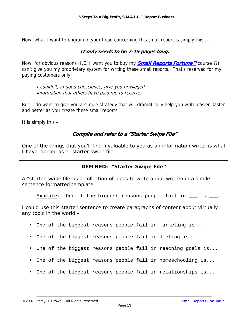Now, what I want to engrain in your head concerning this small report is simply this …

#### **It only needs to be 7-15 pages long.**

Now, for obvious reasons (I.E. I want you to buy my **[Small Reports Fortune™](http://www.infoprofitshare.com/go.php?offer=janu001&pid=5)** course ☺), I can't give you my proprietary system for writing these small reports. That's reserved for my paying customers only.

I couldn't, in good conscience, give you privileged information that others have paid me to receive.

But, I do want to give you a simple strategy that will dramatically help you write easier, faster and better as you create these small reports.

It is simply this –

#### **Compile and refer to a "Starter Swipe File"**

One of the things that you'll find invaluable to you as an information writer is what I have labeled as a "starter swipe file".

#### **DEFINED: "Starter Swipe File"**

A "starter swipe file" is a collection of ideas to write about written in a single sentence formatted template.

Example: One of the biggest reasons people fail in  $\_\_$  is  $\_\_$ .

I could use this starter sentence to create paragraphs of content about virtually any topic in the world –

- One of the biggest reasons people fail in marketing is...
- One of the biggest reasons people fail in dieting is...
- One of the biggest reasons people fail in reaching goals is...
- One of the biggest reasons people fail in homeschooling is...
- One of the biggest reasons people fail in relationships is...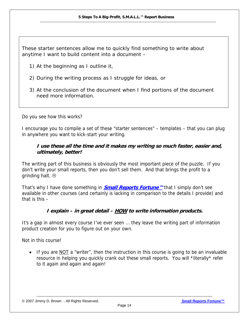These starter sentences allow me to quickly find something to write about anytime I want to build content into a document –

- 1) At the beginning as I outline it,
- 2) During the writing process as I struggle for ideas, or
- 3) At the conclusion of the document when I find portions of the document need more information.

Do you see how this works?

I encourage you to compile a set of these "starter sentences" – templates – that you can plug in anywhere you want to kick-start your writing.

#### **I use these all the time and it makes my writing so much faster, easier and, ultimately, better!**

The writing part of this business is obviously the most important piece of the puzzle. If you don't write your small reports, then you don't sell them. And that brings the profit to a grinding halt.  $\odot$ 

That's why I have done something in **[Small Reports Fortune™](http://www.infoprofitshare.com/go.php?offer=janu001&pid=5)** that I simply don't see available in other courses (and certainly is lacking in comparison to the details I provide) and that is this –

#### **I explain – in great detail – HOW to write information products.**

It's a gap in almost every course I've ever seen … they leave the writing part of information product creation for you to figure out on your own.

Not in this course!

If you are  $NOT$  a "writer", then the instruction in this course is going to be an invaluable resource in helping you quickly crank out these small reports. You will \*literally\* refer to it again and again and again!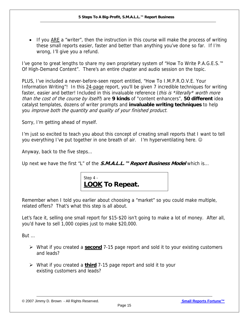• If you  $\overline{ARE}$  a "writer", then the instruction in this course will make the process of writing these small reports easier, faster and better than anything you've done so far. If I'm wrong, I'll give you a refund.

I've gone to great lengths to share my own proprietary system of "How To Write P.A.G.E.S.™ Of High-Demand Content". There's an entire chapter and audio session on the topic.

PLUS, I've included a never-before-seen report entitled, "How To I.M.P.R.O.V.E. Your Information Writing"! In this 24-page report, you'll be given 7 incredible techniques for writing faster, easier and better! Included in this invaluable reference (*this is \*literally\* worth more* than the cost of the course by itself!) are **9 kinds** of "content enhancers", **50 different** idea catalyst templates, dozens of writer prompts and **invaluable writing techniques** to help you improve both the quantity and quality of your finished product.

Sorry, I'm getting ahead of myself.

I'm just so excited to teach you about this concept of creating small reports that I want to tell you everything I've put together in one breath of air. I'm hyperventilating here.  $\odot$ 

Anyway, back to the five steps…

Up next we have the first "L" of the **S.M.A.L.L.™ Report Business Model** which is...



Remember when I told you earlier about choosing a "market" so you could make multiple, related offers? That's what this step is all about.

Let's face it, selling one small report for \$15-\$20 isn't going to make a lot of money. After all, you'd have to sell 1,000 copies just to make \$20,000.

But …

- ¾ What if you created a **second** 7-15 page report and sold it to your existing customers and leads?
- ¾ What if you created a **third** 7-15 page report and sold it to your existing customers and leads?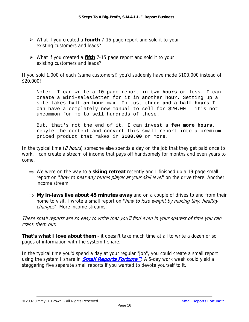- ¾ What if you created a **fourth** 7-15 page report and sold it to your existing customers and leads?
- ¾ What if you created a **fifth** 7-15 page report and sold it to your existing customers and leads?

If you sold 1,000 of each (same customers!) you'd suddenly have made \$100,000 instead of \$20,000!

Note: I can write a 10-page report in **two hours** or less. I can create a mini-salesletter for it in another **hour**. Setting up a site takes **half an hour** max. In just **three and a half hours** I can have a completely new manual to sell for \$20.00 - it's not uncommon for me to sell hundreds of these.

But, that's not the end of it. I can invest a **few more hours**, recyle the content and convert this small report into a premiumpriced product that rakes in **\$100.00** or more.

In the typical time ( $8$  hours) someone else spends a day on the job that they get paid once to work, I can create a stream of income that pays off handsomely for months and even years to come.

- ⇒ We were on the way to a **skiing retreat** recently and I finished up a 19-page small report on "*how to beat any tennis player at your skill level*" on the drive there. Another income stream.
- ⇒ **My in-laws live about 45 minutes away** and on a couple of drives to and from their home to visit, I wrote a small report on "how to lose weight by making tiny, healthy changes". More income streams.

These small reports are so easy to write that you'll find even in your sparest of time you can crank them out.

**That's what I love about them** - it doesn't take much time at all to write a dozen or so pages of information with the system I share.

In the typical time you'd spend a day at your regular "job", you could create a small report using the system I share in **[Small Reports Fortune™](http://www.infoprofitshare.com/go.php?offer=janu001&pid=5)**. A 5-day work week could yield a staggering five separate small reports if you wanted to devote yourself to it.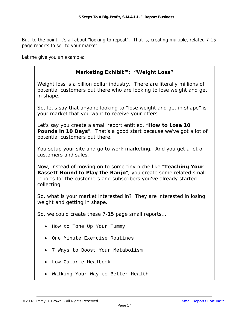But, to the point, it's all about "looking to repeat". That is, creating multiple, related 7-15 page reports to sell to your market.

Let me give you an example:

#### **Marketing Exhibit™: "Weight Loss"**

Weight loss is a billion dollar industry. There are literally millions of potential customers out there who are looking to lose weight and get in shape.

So, let's say that anyone looking to "lose weight and get in shape" is your market that you want to receive your offers.

Let's say you create a small report entitled, "*How to Lose 10*  **Pounds in 10 Days**". That's a good start because we've got a lot of potential customers out there.

You setup your site and go to work marketing. And you get a lot of customers and sales.

Now, instead of moving on to some tiny niche like "*Teaching Your Bassett Hound to Play the Banjo*", you create some related small reports for the customers and subscribers you've already started collecting.

So, what is your market interested in? They are interested in losing weight and getting in shape.

So, we could create these 7-15 page small reports…

- How to Tone Up Your Tummy
- One Minute Exercise Routines
- 7 Ways to Boost Your Metabolism
- Low-Calorie Mealbook
- Walking Your Way to Better Health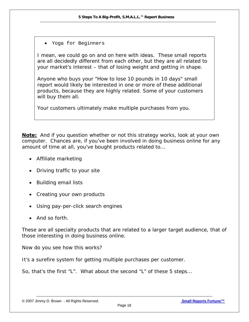• Yoga for Beginners

I mean, we could go on and on here with ideas. These small reports are all decidedly different from each other, but they are all related to your market's interest – that of losing weight and getting in shape.

Anyone who buys your "How to lose 10 pounds in 10 days" small report would likely be interested in one or more of these additional products, because they are highly related. Some of your customers will buy them all.

Your customers ultimately make multiple purchases from you.

**Note:** And if you question whether or not this strategy works, look at your own computer. Chances are, if you've been involved in doing business online for any amount of time at all, you've bought products related to...

- Affiliate marketing
- Driving traffic to your site
- Building email lists
- Creating your own products
- Using pay-per-click search engines
- And so forth.

These are all specialty products that are related to a larger target audience, that of those interesting in doing business online.

Now do you see how this works?

It's a surefire system for getting multiple purchases per customer.

So, that's the first "L". What about the second "L" of these 5 steps…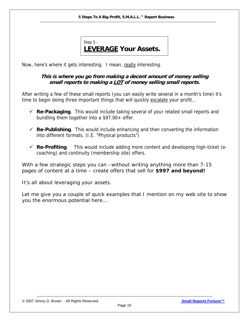

Now, here's where it gets interesting. I mean, really interesting.

#### **This is where you go from making a decent amount of money selling small reports to making a LOT of money selling small reports.**

After writing a few of these small reports (you can easily write several in a month's time) it's time to begin doing three important things that will quickly escalate your profit...

- $\checkmark$  **Re-Packaging**. This would include taking several of your related small reports and bundling them together into a \$97.00+ offer.
- $\checkmark$  **Re-Publishing**. This would include enhancing and then converting the information into different formats. (I.E. "Physical products")
- $\checkmark$  **Re-Profiting**. This would include adding more content and developing high-ticket (ecoaching) and continuity (membership site) offers.

With a few strategic steps you can –*without writing anything more than 7-15 pages of content at a time* – create offers that sell for **\$997 and beyond!** 

It's all about leveraging your assets.

Let me give you a couple of quick examples that I mention on my web site to show you the enormous potential here…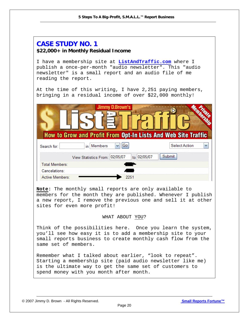## **CASE STUDY NO. 1 \$22,000+ in Monthly Residual Income**  I have a membership site at **[ListAndTraffic.com](http://www.listandtraffic.com)** where I publish a once-per-month "audio newsletter". This "audio newsletter" is a small report and an audio file of me reading the report. At the time of this writing, I have 2,251 paying members, bringing in a residual income of over \$22,000 monthly! Jimmv D.Brown's **How to Grow and Profit From Opt-In Lists And Web Site Traffic**  $\vee$  Go Select Action v in Members Search for: View Statistics From: 02/05/07 to 02/05/07 Submit **Total Members:** Cancelations: Active Members: **Note:** The monthly small reports are only available to members for the month they are published. Whenever I publish a new report, I remove the previous one and sell it at other sites for even more profit! WHAT ABOUT YOU? Think of the possibilities here. Once you learn the system, you'll see how easy it is to add a membership site to your small reports business to create monthly cash flow from the same set of members. Remember what I talked about earlier, "look to repeat". Starting a membership site (paid audio newsletter like me) is the ultimate way to get the same set of customers to spend money with you month after month.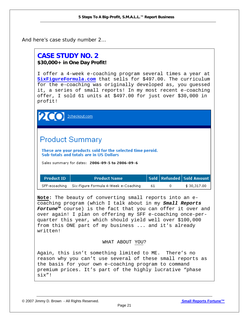And here's case study number 2…

## **CASE STUDY NO. 2 \$30,000+ in One Day Profit!**

I offer a 4-week e-coaching program several times a year at **[SixFigureFormula.com](http://www.listandtraffic.com/ecoaching/)** that sells for \$497.00. The curriculum for the e-coaching was originally developed as, you guessed it, a series of small reports! In my most recent e-coaching offer, I sold 61 units at \$497.00 for just over \$30,000 in profit!

**2** 2checkout.com

# **Product Summary**

These are your products sold for the selected time peroid. Sub-totals and totals are in US Dollars

Sales summary for dates: 2006-09-5 to 2006-09-6

| <b>Product ID</b> | <b>Product Name</b>                                |    | Sold   Refunded   Sold Amount |
|-------------------|----------------------------------------------------|----|-------------------------------|
|                   | SFF-ecoaching Six-Figure Formula 4-Week e-Coaching | 61 | \$30,317.00                   |

**Note:** The beauty of converting small reports into an ecoaching program (which I talk about in my *Small Reports Fortune™* course) is the fact that you can offer it over and over again! I plan on offering my SFF e-coaching once-perquarter this year, which should yield well over \$100,000 from this ONE part of my business ... and it's already written!

#### WHAT ABOUT YOU?

Again, this isn't something limited to ME. There's no reason why you can't use several of these small reports as the basis for your own e-coaching program to command premium prices. It's part of the highly lucrative "phase six"!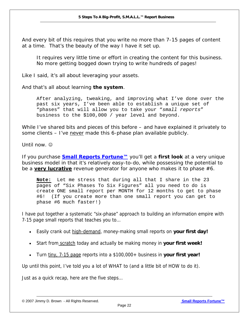And every bit of this requires that you write no more than 7-15 pages of content at a time. That's the beauty of the way I have it set up.

*It requires very little time or effort in creating the content for this business. No more getting bogged down trying to write hundreds of pages!* 

Like I said, it's all about leveraging your assets.

And that's all about learning **the system**.

After analyzing, tweaking, and improving what I've done over the past six years, I've been able to establish a unique set of "phases" that will allow you to take your "*small reports*" business to the \$100,000 / year level and beyond.

While I've shared bits and pieces of this before – *and have explained it privately to some clients* – I've never made this 6-phase plan available publicly.

Until now.  $\odot$ 

If you purchase *[Small Reports Fortune™](http://www.infoprofitshare.com/go.php?offer=janu001&pid=5)* you'll get a *first look* at a very unique business model in that it's relatively easy-to-do, while possessing the potential to be a **very lucrative** revenue generator for anyone who makes it to phase #6.

**Note:** Let me stress that during all that I share in the 23 pages of "Six Phases To Six Figures" all you need to do is create ONE small report per MONTH for 12 months to get to phase #6! (If you create more than one small report you can get to phase #6 much faster!)

I have put together a systematic "six-phase" approach to building an information empire with 7-15 page small reports that teaches you to…

- Easily crank out high-demand, money-making small reports on **your first day!**
- Start from scratch today and actually be making money in **your first week!**
- Turn tiny, 7-15 page reports into a \$100,000+ business in your first year!

Up until this point, I've told you a lot of WHAT to (and a little bit of HOW to do it).

Just as a quick recap, here are the five steps…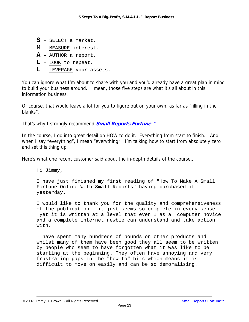- **S** SELECT a market.
- **M** MEASURE interest.
- **A** AUTHOR a report.
- **L** LOOK to repeat.
- **L** LEVERAGE your assets.

You can ignore what I'm about to share with you and you'd already have a great plan in mind to build your business around. I mean, those five steps are what it's all about in this information business.

Of course, that would leave a lot for you to figure out on your own, as far as "filling in the blanks".

That's why I strongly recommend **[Small Reports Fortune™](http://www.infoprofitshare.com/go.php?offer=janu001&pid=5)**.

In the course, I go into great detail on HOW to do it. Everything from start to finish. And when I say "everything", I mean "everything". I'm talking how to start from absolutely zero and set this thing up.

Here's what one recent customer said about the in-depth details of the course…

Hi Jimmy,

I have just finished my first reading of "How To Make A Small Fortune Online With Small Reports" having purchased it yesterday.

I would like to thank you for the quality and comprehensiveness of the publication - it just seems so complete in every sense yet it is written at a level that even I as a computer novice and a complete internet newbie can understand and take action with.

I have spent many hundreds of pounds on other products and whilst many of them have been good they all seem to be written by people who seem to have forgotten what it was like to be starting at the beginning. They often have annoying and very frustrating gaps in the "how to" bits which means it is difficult to move on easily and can be so demoralising.